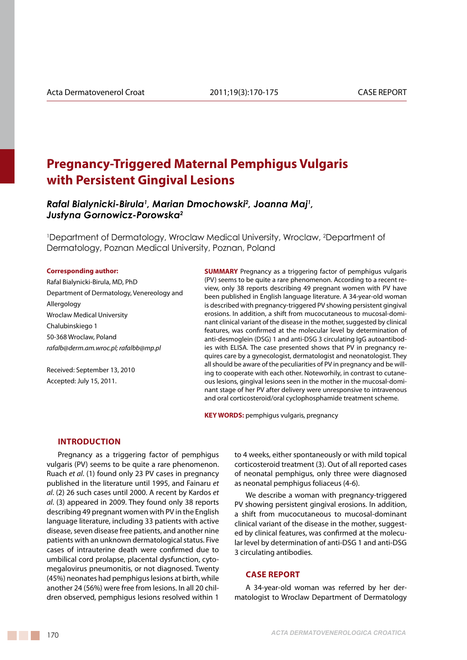# **Pregnancy-Triggered Maternal Pemphigus Vulgaris with Persistent Gingival Lesions**

# *Rafal Bialynicki-Birula1 , Marian Dmochowski2 , Joanna Maj1 , Justyna Gornowicz-Porowska2*

1 Department of Dermatology, Wroclaw Medical University, Wroclaw, 2 Department of Dermatology, Poznan Medical University, Poznan, Poland

#### **Corresponding author:**

Rafal Bialynicki-Birula, MD, PhD Department of Dermatology, Venereology and Allergology Wroclaw Medical University Chalubinskiego 1 50-368 Wroclaw, Poland *rafalb@derm.am.wroc.pl; rafalbb@mp.pl*

Received: September 13, 2010 Accepted: July 15, 2011.

**SUMMARY** Pregnancy as a triggering factor of pemphigus vulgaris (PV) seems to be quite a rare phenomenon. According to a recent review, only 38 reports describing 49 pregnant women with PV have been published in English language literature. A 34-year-old woman is described with pregnancy-triggered PV showing persistent gingival erosions. In addition, a shift from mucocutaneous to mucosal-dominant clinical variant of the disease in the mother, suggested by clinical features, was confirmed at the molecular level by determination of anti-desmoglein (DSG) 1 and anti-DSG 3 circulating IgG autoantibodies with ELISA. The case presented shows that PV in pregnancy requires care by a gynecologist, dermatologist and neonatologist. They all should be aware of the peculiarities of PV in pregnancy and be willing to cooperate with each other. Noteworhily, in contrast to cutaneous lesions, gingival lesions seen in the mother in the mucosal-dominant stage of her PV after delivery were unresponsive to intravenous and oral corticosteroid/oral cyclophosphamide treatment scheme.

**KEY WORDS:** pemphigus vulgaris, pregnancy

#### **Introduction**

Pregnancy as a triggering factor of pemphigus vulgaris (PV) seems to be quite a rare phenomenon. Ruach *et al*. (1) found only 23 PV cases in pregnancy published in the literature until 1995, and Fainaru *et al*. (2) 26 such cases until 2000. A recent by Kardos *et al*. (3) appeared in 2009. They found only 38 reports describing 49 pregnant women with PV in the English language literature, including 33 patients with active disease, seven disease free patients, and another nine patients with an unknown dermatological status. Five cases of intrauterine death were confirmed due to umbilical cord prolapse, placental dysfunction, cytomegalovirus pneumonitis, or not diagnosed. Twenty (45%) neonates had pemphigus lesions at birth, while another 24 (56%) were free from lesions. In all 20 children observed, pemphigus lesions resolved within 1

to 4 weeks, either spontaneously or with mild topical corticosteroid treatment (3). Out of all reported cases of neonatal pemphigus, only three were diagnosed as neonatal pemphigus foliaceus (4-6).

We describe a woman with pregnancy-triggered PV showing persistent gingival erosions. In addition, a shift from mucocutaneous to mucosal-dominant clinical variant of the disease in the mother, suggested by clinical features, was confirmed at the molecular level by determination of anti-DSG 1 and anti-DSG 3 circulating antibodies.

#### **Case report**

A 34-year-old woman was referred by her dermatologist to Wroclaw Department of Dermatology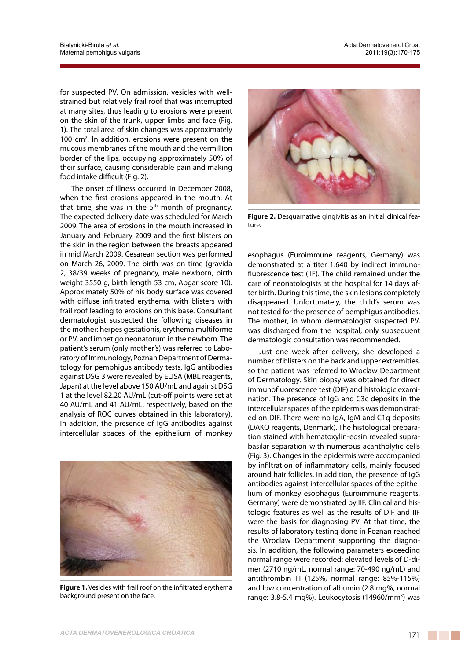for suspected PV. On admission, vesicles with wellstrained but relatively frail roof that was interrupted at many sites, thus leading to erosions were present on the skin of the trunk, upper limbs and face (Fig. 1). The total area of skin changes was approximately 100 cm<sup>2</sup>. In addition, erosions were present on the mucous membranes of the mouth and the vermillion border of the lips, occupying approximately 50% of their surface, causing considerable pain and making food intake difficult (Fig. 2).

The onset of illness occurred in December 2008, when the first erosions appeared in the mouth. At that time, she was in the  $5<sup>th</sup>$  month of pregnancy. The expected delivery date was scheduled for March 2009. The area of erosions in the mouth increased in January and February 2009 and the first blisters on the skin in the region between the breasts appeared in mid March 2009. Cesarean section was performed on March 26, 2009. The birth was on time (gravida 2, 38/39 weeks of pregnancy, male newborn, birth weight 3550 g, birth length 53 cm, Apgar score 10). Approximately 50% of his body surface was covered with diffuse infiltrated erythema, with blisters with frail roof leading to erosions on this base. Consultant dermatologist suspected the following diseases in the mother: herpes gestationis, erythema multiforme or PV, and impetigo neonatorum in the newborn. The patient's serum (only mother's) was referred to Laboratory of Immunology, Poznan Department of Dermatology for pemphigus antibody tests. IgG antibodies against DSG 3 were revealed by ELISA (MBL reagents, Japan) at the level above 150 AU/mL and against DSG 1 at the level 82.20 AU/mL (cut-off points were set at 40 AU/mL and 41 AU/mL, respectively, based on the analysis of ROC curves obtained in this laboratory). In addition, the presence of IgG antibodies against intercellular spaces of the epithelium of monkey



**Figure 1.** Vesicles with frail roof on the infiltrated erythema background present on the face.



**Figure 2.** Desquamative gingivitis as an initial clinical feature.

esophagus (Euroimmune reagents, Germany) was demonstrated at a titer 1:640 by indirect immunofluorescence test (IIF). The child remained under the care of neonatologists at the hospital for 14 days after birth. During this time, the skin lesions completely disappeared. Unfortunately, the child's serum was not tested for the presence of pemphigus antibodies. The mother, in whom dermatologist suspected PV, was discharged from the hospital; only subsequent dermatologic consultation was recommended.

Just one week after delivery, she developed a number of blisters on the back and upper extremities, so the patient was referred to Wroclaw Department of Dermatology. Skin biopsy was obtained for direct immunofluorescence test (DIF) and histologic examination. The presence of IgG and C3c deposits in the intercellular spaces of the epidermis was demonstrated on DIF. There were no IgA, IgM and C1g deposits (DAKO reagents, Denmark). The histological preparation stained with hematoxylin-eosin revealed suprabasilar separation with numerous acantholytic cells (Fig. 3). Changes in the epidermis were accompanied by infiltration of inflammatory cells, mainly focused around hair follicles. In addition, the presence of IgG antibodies against intercellular spaces of the epithelium of monkey esophagus (Euroimmune reagents, Germany) were demonstrated by IIF. Clinical and histologic features as well as the results of DIF and IIF were the basis for diagnosing PV. At that time, the results of laboratory testing done in Poznan reached the Wroclaw Department supporting the diagnosis. In addition, the following parameters exceeding normal range were recorded: elevated levels of D-dimer (2710 ng/mL, normal range: 70-490 ng/mL) and antithrombin III (125%, normal range: 85%-115%) and low concentration of albumin (2.8 mg%, normal range: 3.8-5.4 mg%). Leukocytosis (14960/mm<sup>3</sup>) was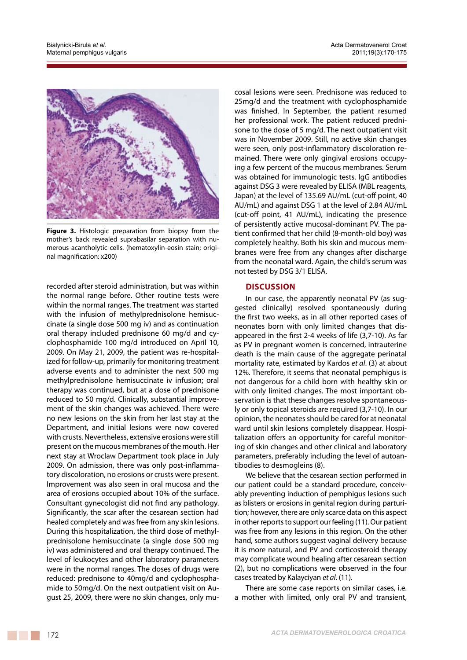

**Figure 3.** Histologic preparation from biopsy from the mother's back revealed suprabasilar separation with numerous acantholytic cells. (hematoxylin-eosin stain; original magnification: x200)

recorded after steroid administration, but was within the normal range before. Other routine tests were within the normal ranges. The treatment was started with the infusion of methylprednisolone hemisuccinate (a single dose 500 mg iv) and as continuation oral therapy included prednisone 60 mg/d and cyclophosphamide 100 mg/d introduced on April 10, 2009. On May 21, 2009, the patient was re-hospitalized for follow-up, primarily for monitoring treatment adverse events and to administer the next 500 mg methylprednisolone hemisuccinate iv infusion; oral therapy was continued, but at a dose of prednisone reduced to 50 mg/d. Clinically, substantial improvement of the skin changes was achieved. There were no new lesions on the skin from her last stay at the Department, and initial lesions were now covered with crusts. Nevertheless, extensive erosions were still present on the mucous membranes of the mouth. Her next stay at Wroclaw Department took place in July 2009. On admission, there was only post-inflammatory discoloration, no erosions or crusts were present. Improvement was also seen in oral mucosa and the area of erosions occupied about 10% of the surface. Consultant gynecologist did not find any pathology. Significantly, the scar after the cesarean section had healed completely and was free from any skin lesions. During this hospitalization, the third dose of methylprednisolone hemisuccinate (a single dose 500 mg iv) was administered and oral therapy continued. The level of leukocytes and other laboratory parameters were in the normal ranges. The doses of drugs were reduced: prednisone to 40mg/d and cyclophosphamide to 50mg/d. On the next outpatient visit on August 25, 2009, there were no skin changes, only mu-

cosal lesions were seen. Prednisone was reduced to 25mg/d and the treatment with cyclophosphamide was finished. In September, the patient resumed her professional work. The patient reduced prednisone to the dose of 5 mg/d. The next outpatient visit was in November 2009. Still, no active skin changes were seen, only post-inflammatory discoloration remained. There were only gingival erosions occupying a few percent of the mucous membranes. Serum was obtained for immunologic tests. IgG antibodies against DSG 3 were revealed by ELISA (MBL reagents, Japan) at the level of 135.69 AU/mL (cut-off point, 40 AU/mL) and against DSG 1 at the level of 2.84 AU/mL (cut-off point, 41 AU/mL), indicating the presence of persistently active mucosal-dominant PV. The patient confirmed that her child (8-month-old boy) was completely healthy. Both his skin and mucous membranes were free from any changes after discharge from the neonatal ward. Again, the child's serum was not tested by DSG 3/1 ELISA.

# **Discussion**

In our case, the apparently neonatal PV (as suggested clinically) resolved spontaneously during the first two weeks, as in all other reported cases of neonates born with only limited changes that disappeared in the first 2-4 weeks of life (3,7-10). As far as PV in pregnant women is concerned, intrauterine death is the main cause of the aggregate perinatal mortality rate, estimated by Kardos *et al*. (3) at about 12%. Therefore, it seems that neonatal pemphigus is not dangerous for a child born with healthy skin or with only limited changes. The most important observation is that these changes resolve spontaneously or only topical steroids are required (3,7-10). In our opinion, the neonates should be cared for at neonatal ward until skin lesions completely disappear. Hospitalization offers an opportunity for careful monitoring of skin changes and other clinical and laboratory parameters, preferably including the level of autoantibodies to desmogleins (8).

We believe that the cesarean section performed in our patient could be a standard procedure, conceivably preventing induction of pemphigus lesions such as blisters or erosions in genital region during parturition; however, there are only scarce data on this aspect in other reports to support our feeling (11). Our patient was free from any lesions in this region. On the other hand, some authors suggest vaginal delivery because it is more natural, and PV and corticosteroid therapy may complicate wound healing after cesarean section (2), but no complications were observed in the four cases treated by Kalayciyan *et al*. (11).

There are some case reports on similar cases, i.e. a mother with limited, only oral PV and transient,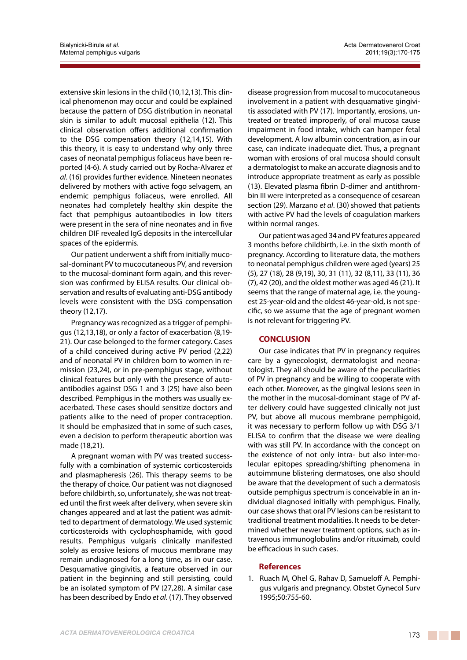extensive skin lesions in the child (10,12,13). This clinical phenomenon may occur and could be explained because the pattern of DSG distribution in neonatal skin is similar to adult mucosal epithelia (12). This clinical observation offers additional confirmation to the DSG compensation theory (12,14,15). With this theory, it is easy to understand why only three cases of neonatal pemphigus foliaceus have been reported (4-6). A study carried out by Rocha-Alvarez *et al*. (16) provides further evidence. Nineteen neonates delivered by mothers with active fogo selvagem, an endemic pemphigus foliaceus, were enrolled. All neonates had completely healthy skin despite the fact that pemphigus autoantibodies in low titers were present in the sera of nine neonates and in five children DIF revealed IgG deposits in the intercellular spaces of the epidermis.

Our patient underwent a shift from initially mucosal-dominant PV to mucocutaneous PV, and reversion to the mucosal-dominant form again, and this reversion was confirmed by ELISA results. Our clinical observation and results of evaluating anti-DSG antibody levels were consistent with the DSG compensation theory (12,17).

Pregnancy was recognized as a trigger of pemphigus (12,13,18), or only a factor of exacerbation (8,19- 21). Our case belonged to the former category. Cases of a child conceived during active PV period (2,22) and of neonatal PV in children born to women in remission (23,24), or in pre-pemphigus stage, without clinical features but only with the presence of autoantibodies against DSG 1 and 3 (25) have also been described. Pemphigus in the mothers was usually exacerbated. These cases should sensitize doctors and patients alike to the need of proper contraception. It should be emphasized that in some of such cases, even a decision to perform therapeutic abortion was made (18,21).

A pregnant woman with PV was treated successfully with a combination of systemic corticosteroids and plasmapheresis (26). This therapy seems to be the therapy of choice. Our patient was not diagnosed before childbirth, so, unfortunately, she was not treated until the first week after delivery, when severe skin changes appeared and at last the patient was admitted to department of dermatology. We used systemic corticosteroids with cyclophosphamide, with good results. Pemphigus vulgaris clinically manifested solely as erosive lesions of mucous membrane may remain undiagnosed for a long time, as in our case. Desquamative gingivitis, a feature observed in our patient in the beginning and still persisting, could be an isolated symptom of PV (27,28). A similar case has been described by Endo *et al*. (17). They observed disease progression from mucosal to mucocutaneous involvement in a patient with desquamative gingivitis associated with PV (17). Importantly, erosions, untreated or treated improperly, of oral mucosa cause impairment in food intake, which can hamper fetal development. A low albumin concentration, as in our case, can indicate inadequate diet. Thus, a pregnant woman with erosions of oral mucosa should consult a dermatologist to make an accurate diagnosis and to introduce appropriate treatment as early as possible (13). Elevated plasma fibrin D-dimer and antithrombin III were interpreted as a consequence of cesarean section (29). Marzano *et al*. (30) showed that patients with active PV had the levels of coagulation markers within normal ranges.

Our patient was aged 34 and PV features appeared 3 months before childbirth, i.e. in the sixth month of pregnancy. According to literature data, the mothers to neonatal pemphigus children were aged (years) 25 (5), 27 (18), 28 (9,19), 30, 31 (11), 32 (8,11), 33 (11), 36 (7), 42 (20), and the oldest mother was aged 46 (21). It seems that the range of maternal age, i.e. the youngest 25-year-old and the oldest 46-year-old, is not specific, so we assume that the age of pregnant women is not relevant for triggering PV.

# **CONCLUSION**

Our case indicates that PV in pregnancy requires care by a gynecologist, dermatologist and neonatologist. They all should be aware of the peculiarities of PV in pregnancy and be willing to cooperate with each other. Moreover, as the gingival lesions seen in the mother in the mucosal-dominant stage of PV after delivery could have suggested clinically not just PV, but above all mucous membrane pemphigoid, it was necessary to perform follow up with DSG 3/1 ELISA to confirm that the disease we were dealing with was still PV. In accordance with the concept on the existence of not only intra- but also inter-molecular epitopes spreading/shifting phenomena in autoimmune blistering dermatoses, one also should be aware that the development of such a dermatosis outside pemphigus spectrum is conceivable in an individual diagnosed initially with pemphigus. Finally, our case shows that oral PV lesions can be resistant to traditional treatment modalities. It needs to be determined whether newer treatment options, such as intravenous immunoglobulins and/or rituximab, could be efficacious in such cases.

# **References**

1. Ruach M, Ohel G, Rahav D, Samueloff A. Pemphigus vulgaris and pregnancy. Obstet Gynecol Surv 1995;50:755-60.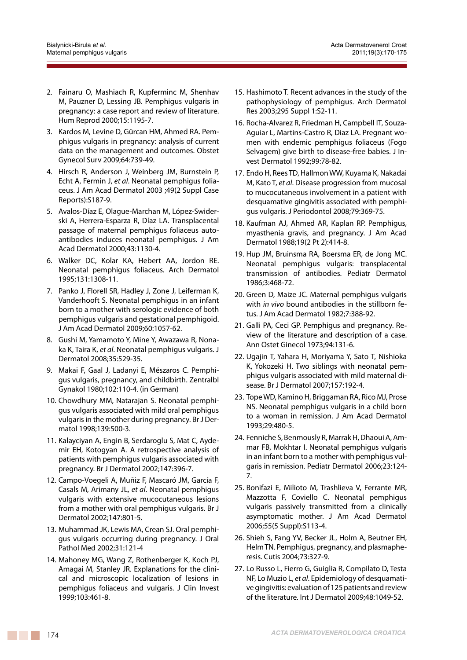- 2. Fainaru O, Mashiach R, Kupferminc M, Shenhav M, Pauzner D, Lessing JB. Pemphigus vulgaris in pregnancy: a case report and review of literature. Hum Reprod 2000;15:1195-7.
- 3. Kardos M, Levine D, Gürcan HM, Ahmed RA. Pemphigus vulgaris in pregnancy: analysis of current data on the management and outcomes. Obstet Gynecol Surv 2009;64:739-49.
- 4. Hirsch R, Anderson J, Weinberg JM, Burnstein P, Echt A, Fermin J, *et al*. Neonatal pemphigus foliaceus. J Am Acad Dermatol 2003 ;49(2 Suppl Case Reports):S187-9.
- 5. Avalos-Díaz E, Olague-Marchan M, López-Swiderski A, Herrera-Esparza R, Díaz LA. Transplacental passage of maternal pemphigus foliaceus autoantibodies induces neonatal pemphigus. J Am Acad Dermatol 2000;43:1130-4.
- 6. Walker DC, Kolar KA, Hebert AA, Jordon RE. Neonatal pemphigus foliaceus. Arch Dermatol 1995;131:1308-11.
- 7. Panko J, Florell SR, Hadley J, Zone J, Leiferman K, Vanderhooft S. Neonatal pemphigus in an infant born to a mother with serologic evidence of both pemphigus vulgaris and gestational pemphigoid. J Am Acad Dermatol 2009;60:1057-62.
- 8. Gushi M, Yamamoto Y, Mine Y, Awazawa R, Nonaka K, Taira K, *et al*. Neonatal pemphigus vulgaris. J Dermatol 2008;35:529-35.
- 9. Makai F, Gaal J, Ladanyi E, Mészaros C. Pemphigus vulgaris, pregnancy, and childbirth. Zentralbl Gynakol 1980;102:110-4. (in German)
- 10. Chowdhury MM, Natarajan S. Neonatal pemphigus vulgaris associated with mild oral pemphigus vulgaris in the mother during pregnancy. Br J Dermatol 1998;139:500-3.
- 11. Kalayciyan A, Engin B, Serdaroglu S, Mat C, Aydemir EH, Kotogyan A. A retrospective analysis of patients with pemphigus vulgaris associated with pregnancy. Br J Dermatol 2002;147:396-7.
- 12. Campo-Voegeli A, Muñiz F, Mascaró JM, García F, Casals M, Arimany JL, *et al*. Neonatal pemphigus vulgaris with extensive mucocutaneous lesions from a mother with oral pemphigus vulgaris. Br J Dermatol 2002;147:801-5.
- 13. Muhammad JK, Lewis MA, Crean SJ. Oral pemphigus vulgaris occurring during pregnancy. J Oral Pathol Med 2002;31:121-4
- 14. Mahoney MG, Wang Z, Rothenberger K, Koch PJ, Amagai M, Stanley JR. Explanations for the clinical and microscopic localization of lesions in pemphigus foliaceus and vulgaris. J Clin Invest 1999;103:461-8.
- 15. Hashimoto T. Recent advances in the study of the pathophysiology of pemphigus. Arch Dermatol Res 2003;295 Suppl 1:S2-11.
- 16. Rocha-Alvarez R, Friedman H, Campbell IT, Souza-Aguiar L, Martins-Castro R, Diaz LA. Pregnant women with endemic pemphigus foliaceus (Fogo Selvagem) give birth to disease-free babies. J Invest Dermatol 1992;99:78-82.
- 17. Endo H, Rees TD, Hallmon WW, Kuyama K, Nakadai M, Kato T, *et al*. Disease progression from mucosal to mucocutaneous involvement in a patient with desquamative gingivitis associated with pemphigus vulgaris. J Periodontol 2008;79:369-75.
- 18. Kaufman AJ, Ahmed AR, Kaplan RP. Pemphigus, myasthenia gravis, and pregnancy. J Am Acad Dermatol 1988;19(2 Pt 2):414-8.
- 19. Hup JM, Bruinsma RA, Boersma ER, de Jong MC. Neonatal pemphigus vulgaris: transplacental transmission of antibodies. Pediatr Dermatol 1986;3:468-72.
- 20. Green D, Maize JC. Maternal pemphigus vulgaris with *in vivo* bound antibodies in the stillborn fetus. J Am Acad Dermatol 1982;7:388-92.
- 21. Galli PA, Ceci GP. Pemphigus and pregnancy. Review of the literature and description of a case. Ann Ostet Ginecol 1973;94:131-6.
- 22. Ugajin T, Yahara H, Moriyama Y, Sato T, Nishioka K, Yokozeki H. Two siblings with neonatal pemphigus vulgaris associated with mild maternal disease. Br J Dermatol 2007;157:192-4.
- 23. Tope WD, Kamino H, Briggaman RA, Rico MJ, Prose NS. Neonatal pemphigus vulgaris in a child born to a woman in remission. J Am Acad Dermatol 1993;29:480-5.
- 24. Fenniche S, Benmously R, Marrak H, Dhaoui A, Ammar FB, Mokhtar I. Neonatal pemphigus vulgaris in an infant born to a mother with pemphigus vulgaris in remission. Pediatr Dermatol 2006;23:124- 7.
- 25. Bonifazi E, Milioto M, Trashlieva V, Ferrante MR, Mazzotta F, Coviello C. Neonatal pemphigus vulgaris passively transmitted from a clinically asymptomatic mother. J Am Acad Dermatol 2006;55(5 Suppl):S113-4.
- 26. Shieh S, Fang YV, Becker JL, Holm A, Beutner EH, Helm TN. Pemphigus, pregnancy, and plasmapheresis. Cutis 2004;73:327-9.
- 27. Lo Russo L, Fierro G, Guiglia R, Compilato D, Testa NF, Lo Muzio L, *et al*. Epidemiology of desquamative gingivitis: evaluation of 125 patients and review of the literature. Int J Dermatol 2009;48:1049-52.